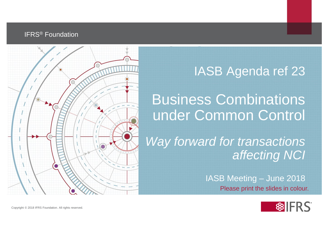#### IFRS® Foundation



### IASB Agenda ref 23

Business Combinations under Common Control

*Way forward for transactions affecting NCI* 

> IASB Meeting – June 2018 Please print the slides in colour.

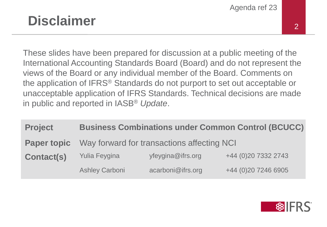### **Disclaimer** 2

These slides have been prepared for discussion at a public meeting of the International Accounting Standards Board (Board) and do not represent the views of the Board or any individual member of the Board. Comments on the application of IFRS® Standards do not purport to set out acceptable or unacceptable application of IFRS Standards. Technical decisions are made in public and reported in IASB® *Update*.

| <b>Project</b>     | <b>Business Combinations under Common Control (BCUCC)</b> |                   |                      |  |
|--------------------|-----------------------------------------------------------|-------------------|----------------------|--|
| <b>Paper topic</b> | Way forward for transactions affecting NCI                |                   |                      |  |
| <b>Contact(s)</b>  | <b>Yulia Feygina</b>                                      | yfeygina@ifrs.org | +44 (0) 20 7332 2743 |  |
|                    | <b>Ashley Carboni</b>                                     | acarboni@ifrs.org | +44 (0)20 7246 6905  |  |

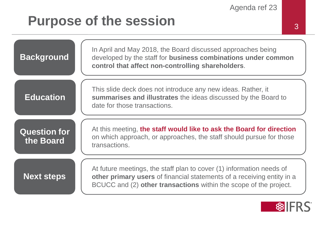### **Purpose of the session** 3



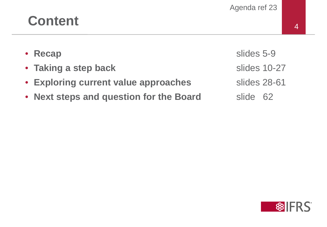## **Content** <sup>4</sup>

| <b>Recap</b><br>$\bullet$ |
|---------------------------|
|---------------------------|

- Taking a step back slides 10-27
- **Exploring current value approaches** slides 28-61
- Next steps and question for the Board slide 62

slides 5-9

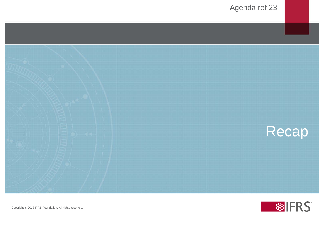

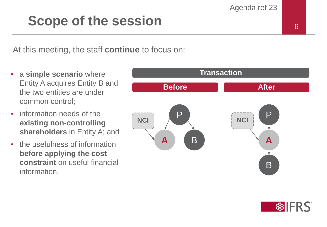### **Scope of the session** <sup>6</sup>

At this meeting, the staff **continue** to focus on:

- a **simple scenario** where Entity A acquires Entity B and the two entities are under common control;
- information needs of the **existing non-controlling shareholders** in Entity A; and
- the usefulness of information **before applying the cost constraint** on useful financial information.



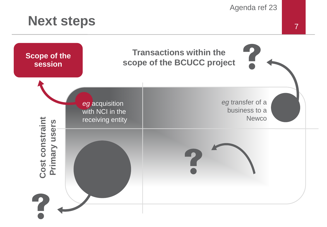### Next steps 7

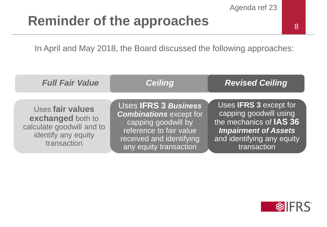### **Reminder of the approaches**

In April and May 2018, the Board discussed the following approaches:

| <b>Full Fair Value</b>                                                                                   | <b>Ceiling</b>                                                                                                                                                        | <b>Revised Ceiling</b>                                                                                                                                         |
|----------------------------------------------------------------------------------------------------------|-----------------------------------------------------------------------------------------------------------------------------------------------------------------------|----------------------------------------------------------------------------------------------------------------------------------------------------------------|
| Uses fair values<br>exchanged both to<br>calculate goodwill and to<br>identify any equity<br>transaction | Uses <b>IFRS 3 Business</b><br><b>Combinations except for</b><br>capping goodwill by<br>reference to fair value<br>received and identifying<br>any equity transaction | Uses IFRS 3 except for<br>capping goodwill using<br>the mechanics of IAS 36<br><b>Impairment of Assets</b><br>and identifying any equity<br><b>transaction</b> |

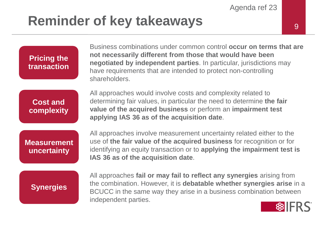### **Reminder of key takeaways**

**Pricing the transaction** Business combinations under common control **occur on terms that are not necessarily different from those that would have been negotiated by independent parties**. In particular, jurisdictions may have requirements that are intended to protect non-controlling shareholders.

**Cost and complexity** All approaches would involve costs and complexity related to determining fair values, in particular the need to determine **the fair value of the acquired business** or perform an **impairment test applying IAS 36 as of the acquisition date**.

**Measurement uncertainty**

All approaches involve measurement uncertainty related either to the use of **the fair value of the acquired business** for recognition or for identifying an equity transaction or to **applying the impairment test is IAS 36 as of the acquisition date**.

#### **Synergies**

All approaches **fail or may fail to reflect any synergies** arising from the combination. However, it is **debatable whether synergies arise** in a BCUCC in the same way they arise in a business combination between independent parties.

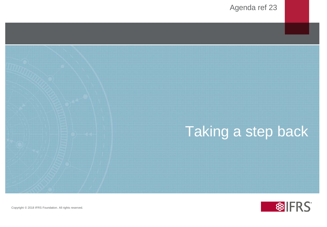



Copyright © 2018 IFRS Foundation. All rights reserved.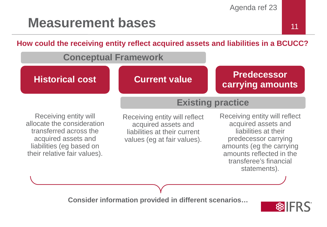### **Measurement bases**

**How could the receiving entity reflect acquired assets and liabilities in a BCUCC?**

#### **Conceptual Framework**

**Historical cost Current value Predecessor carrying amounts**

#### **Existing practice**

Receiving entity will allocate the consideration transferred across the acquired assets and liabilities (eg based on their relative fair values).

Receiving entity will reflect acquired assets and liabilities at their current values (eg at fair values).

Receiving entity will reflect acquired assets and liabilities at their predecessor carrying amounts (eg the carrying amounts reflected in the transferee's financial statements).

**Consider information provided in different scenarios…**

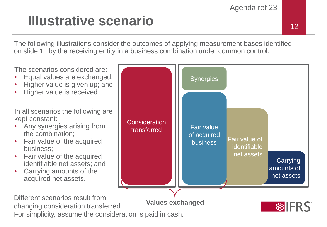# **Illustrative scenario**<br>
12

The following illustrations consider the outcomes of applying measurement bases identified on slide 11 by the receiving entity in a business combination under common control.

The scenarios considered are:

- Equal values are exchanged;
- Higher value is given up; and
- Higher value is received.

In all scenarios the following are kept constant:

- Any synergies arising from the combination;
- Fair value of the acquired business;
- Fair value of the acquired identifiable net assets; and
- Carrying amounts of the acquired net assets.



Different scenarios result from changing consideration transferred. For simplicity, assume the consideration is paid in cash.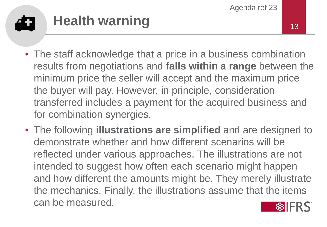### **Health warning** 13 đ

- The staff acknowledge that a price in a business combination results from negotiations and **falls within a range** between the minimum price the seller will accept and the maximum price the buyer will pay. However, in principle, consideration transferred includes a payment for the acquired business and for combination synergies.
- The following **illustrations are simplified** and are designed to demonstrate whether and how different scenarios will be reflected under various approaches. The illustrations are not intended to suggest how often each scenario might happen and how different the amounts might be. They merely illustrate the mechanics. Finally, the illustrations assume that the items can be measured.

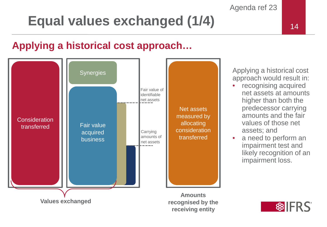## **Equal values exchanged (1/4)**

### **Applying a historical cost approach…**



Applying a historical cost approach would result in:

- recognising acquired net assets at amounts higher than both the predecessor carrying amounts and the fair values of those net assets; and
- a need to perform an impairment test and likely recognition of an impairment loss.



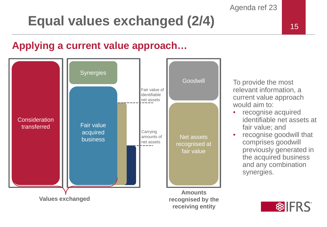## **Equal values exchanged (2/4)**

### **Applying a current value approach…**



To provide the most relevant information, a current value approach would aim to:

- recognise acquired identifiable net assets at fair value; and
- recognise goodwill that comprises goodwill previously generated in the acquired business and any combination synergies.

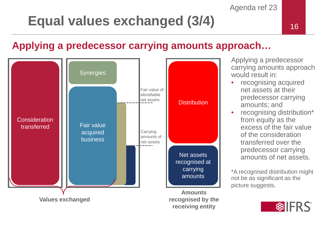## Equal values exchanged (3/4) and the setting of the setting of the setting of the setting of the setting of the setting of the setting of the setting of the setting of the setting of the setting of the setting of the setti

### **Applying a predecessor carrying amounts approach…**



Applying a predecessor carrying amounts approach would result in:

- recognising acquired net assets at their predecessor carrying amounts; and
- recognising distribution\* from equity as the excess of the fair value of the consideration transferred over the predecessor carrying amounts of net assets.

\*A recognised distribution might not be as significant as the picture suggests.

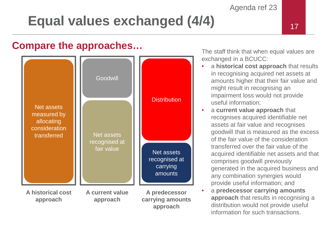## **Equal values exchanged (4/4)**

#### **Compare the approaches…**



The staff think that when equal values are exchanged in a BCUCC:

- a **historical cost approach** that results in recognising acquired net assets at amounts higher that their fair value and might result in recognising an impairment loss would not provide useful information;
- a **current value approach** that recognises acquired identifiable net assets at fair value and recognises goodwill that is measured as the excess of the fair value of the consideration transferred over the fair value of the acquired identifiable net assets and that comprises goodwill previously generated in the acquired business and any combination synergies would provide useful information; and
- a **predecessor carrying amounts approach** that results in recognising a distribution would not provide useful information for such transactions.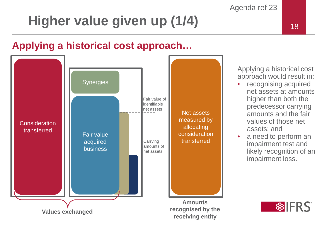# **Higher value given up (1/4)** 18

### **Applying a historical cost approach…**



Applying a historical cost approach would result in:

- recognising acquired net assets at amounts higher than both the predecessor carrying amounts and the fair values of those net assets; and
- a need to perform an impairment test and likely recognition of an impairment loss.

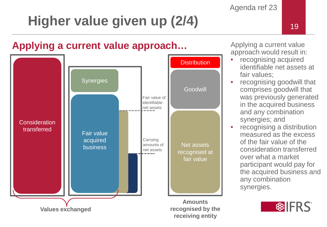# **Higher value given up (2/4)** 19

### **Applying a current value approach…**



Applying a current value approach would result in:

- recognising acquired identifiable net assets at fair values;
- recognising goodwill that comprises goodwill that was previously generated in the acquired business and any combination synergies; and
- recognising a distribution measured as the excess of the fair value of the consideration transferred over what a market participant would pay for the acquired business and any combination synergies.



**receiving entity**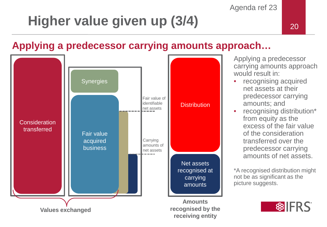# **Higher value given up (3/4)** 20

### **Applying a predecessor carrying amounts approach…**



Applying a predecessor carrying amounts approach would result in:

- recognising acquired net assets at their predecessor carrying amounts; and
- recognising distribution\* from equity as the excess of the fair value of the consideration transferred over the predecessor carrying amounts of net assets.

\*A recognised distribution might not be as significant as the picture suggests.

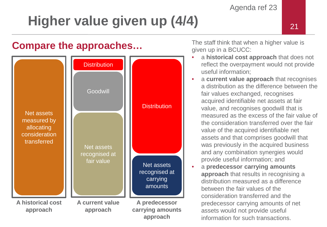# **Higher value given up (4/4)**

### **Compare the approaches...** The staff think that when a higher value is



given up in a BCUCC:

- a **historical cost approach** that does not reflect the overpayment would not provide useful information;
- a **current value approach** that recognises a distribution as the difference between the fair values exchanged, recognises acquired identifiable net assets at fair value, and recognises goodwill that is measured as the excess of the fair value of the consideration transferred over the fair value of the acquired identifiable net assets and that comprises goodwill that was previously in the acquired business and any combination synergies would provide useful information; and
- a **predecessor carrying amounts approach** that results in recognising a distribution measured as a difference between the fair values of the consideration transferred and the predecessor carrying amounts of net assets would not provide useful information for such transactions.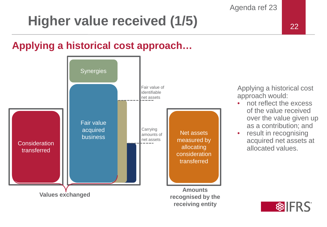# **Higher value received (1/5)** 22

### **Applying a historical cost approach…**



Applying a historical cost approach would:

- not reflect the excess of the value received over the value given up as a contribution; and
- result in recognising acquired net assets at allocated values.

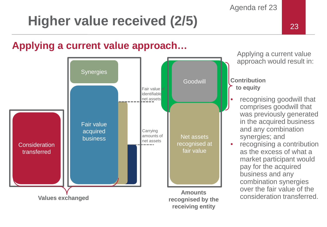## **Higher value received (2/5)**

### **Applying a current value approach…**



Applying a current value approach would result in:

**Contribution to equity**

- recognising goodwill that comprises goodwill that was previously generated in the acquired business and any combination synergies; and
- recognising a contribution as the excess of what a market participant would pay for the acquired business and any combination synergies over the fair value of the consideration transferred.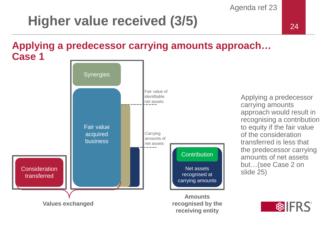## **Higher value received (3/5)**

#### **Applying a predecessor carrying amounts approach… Case 1**



Applying a predecessor carrying amounts approach would result in recognising a contribution to equity if the fair value of the consideration transferred is less that the predecessor carrying amounts of net assets but…(see Case 2 on slide 25)

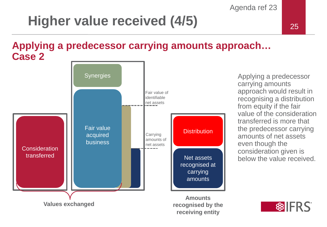# **Higher value received (4/5)**

#### **Applying a predecessor carrying amounts approach… Case 2**



Applying a predecessor carrying amounts approach would result in recognising a distribution from equity if the fair value of the consideration transferred is more that the predecessor carrying amounts of net assets even though the consideration given is below the value received.

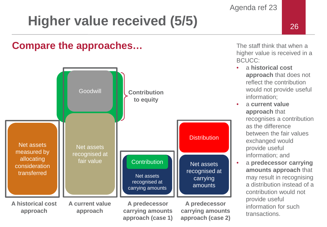# **Higher value received (5/5)** 26

#### **Compare the approaches…**



The staff think that when a higher value is received in a BCUCC:

- a **historical cost approach** that does not reflect the contribution would not provide useful information;
- a **current value approach** that recognises a contribution as the difference between the fair values exchanged would provide useful information; and
- a **predecessor carrying amounts approach** that may result in recognising a distribution instead of a contribution would not provide useful information for such transactions.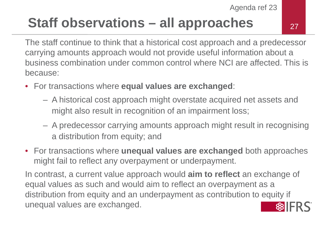## **Staff observations – all approaches**

27

The staff continue to think that a historical cost approach and a predecessor carrying amounts approach would not provide useful information about a business combination under common control where NCI are affected. This is because:

- For transactions where **equal values are exchanged**:
	- A historical cost approach might overstate acquired net assets and might also result in recognition of an impairment loss;
	- A predecessor carrying amounts approach might result in recognising a distribution from equity; and
- For transactions where **unequal values are exchanged** both approaches might fail to reflect any overpayment or underpayment.

In contrast, a current value approach would **aim to reflect** an exchange of equal values as such and would aim to reflect an overpayment as a distribution from equity and an underpayment as contribution to equity if unequal values are exchanged.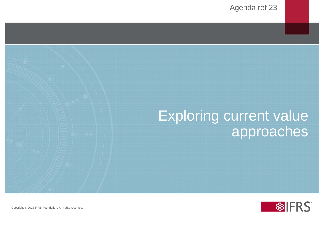### Exploring current value approaches

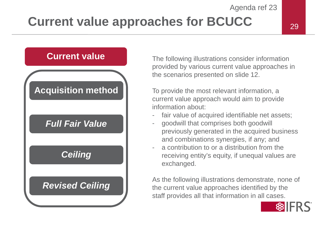### **Current value approaches for BCUCC**

#### 29

#### **Current value**

### **Acquisition method**

#### *Full Fair Value*

#### *Ceiling*

#### *Revised Ceiling*

The following illustrations consider information provided by various current value approaches in the scenarios presented on slide 12.

To provide the most relevant information, a current value approach would aim to provide information about:

- fair value of acquired identifiable net assets;
- goodwill that comprises both goodwill previously generated in the acquired business and combinations synergies, if any; and
- a contribution to or a distribution from the receiving entity's equity, if unequal values are exchanged.

As the following illustrations demonstrate, none of the current value approaches identified by the staff provides all that information in all cases.

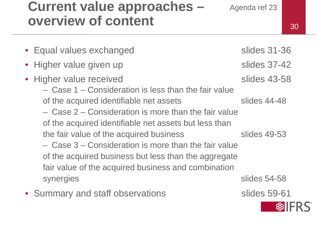### **Current value approaches – overview of**

| overview of content                                                                                                                                                 |                                     |
|---------------------------------------------------------------------------------------------------------------------------------------------------------------------|-------------------------------------|
| • Equal values exchanged                                                                                                                                            | <b>slides 31-36</b>                 |
| • Higher value given up                                                                                                                                             | slides 37-42                        |
| • Higher value received<br>- Case 1 – Consideration is less than the fair value<br>of the acquired identifiable net assets                                          | <b>slides 43-58</b><br>slides 44-48 |
| - Case 2 – Consideration is more than the fair value<br>of the acquired identifiable net assets but less than<br>the fair value of the acquired business            | slides 49-53                        |
| - Case 3 – Consideration is more than the fair value<br>of the acquired business but less than the aggregate<br>fair value of the acquired business and combination |                                     |
| synergies                                                                                                                                                           | slides 54-58                        |

• Summary and staff observations The Summary and staff observations



30

Agenda ref 23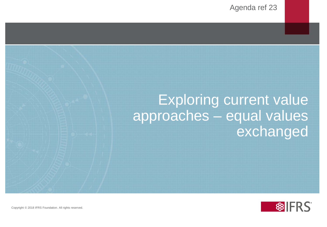### Exploring current value approaches – equal values exchanged

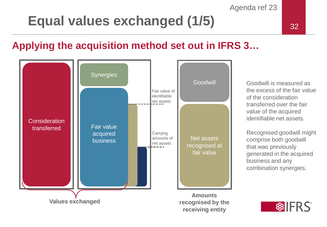## **Equal values exchanged (1/5)** 32

### **Applying the acquisition method set out in IFRS 3…**



Goodwill is measured as the excess of the fair value of the consideration transferred over the fair value of the acquired identifiable net assets.

Recognised goodwill might comprise both goodwill that was previously generated in the acquired business and any combination synergies.

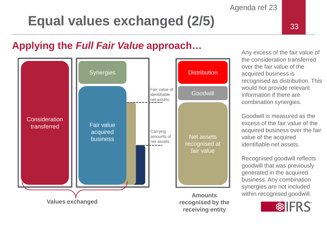# **Equal values exchanged (2/5)**



#### **Applying the** *Full Fair Value* **approach…**



Any excess of the fair value of the consideration transferred over the fair value of the acquired business is recognised as distribution. This would not provide relevant information if there are combination synergies.

Goodwill is measured as the excess of the fair value of the acquired business over the fair value of the acquired identifiable net assets.

Recognised goodwill reflects goodwill that was previously generated in the acquired business. Any combination synergies are not included within recognised goodwill.

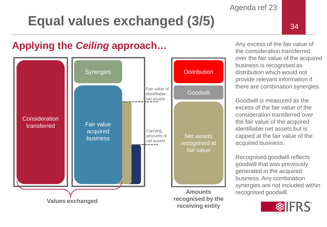# **Equal values exchanged (3/5)**

### **Applying the** *Ceiling* **approach…**



Any excess of the fair value of the consideration transferred over the fair value of the acquired business is recognised as distribution which would not provide relevant information if there are combination synergies.

Agenda ref 23

Goodwill is measured as the excess of the fair value of the consideration transferred over the fair value of the acquired identifiable net assets but is capped at the fair value of the acquired business.

Recognised goodwill reflects goodwill that was previously generated in the acquired business. Any combination synergies are not included within recognised goodwill.

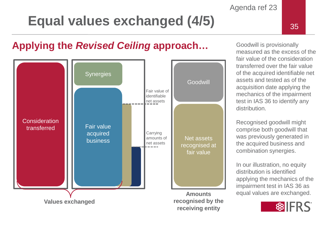## Equal values exchanged (4/5) **1200** 135

### **Applying the** *Revised Ceiling* **approach…**



Goodwill is provisionally measured as the excess of the fair value of the consideration transferred over the fair value of the acquired identifiable net assets and tested as of the acquisition date applying the mechanics of the impairment test in IAS 36 to identify any distribution.

Recognised goodwill might comprise both goodwill that was previously generated in the acquired business and combination synergies.

In our illustration, no equity distribution is identified applying the mechanics of the impairment test in IAS 36 as equal values are exchanged.

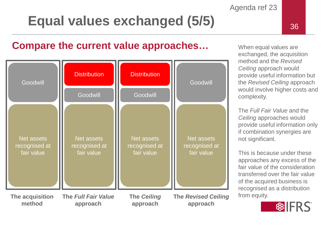# **Equal values exchanged (5/5)** 36





When equal values are exchanged, the acquisition method and the *Revised Ceiling* approach would provide useful information but the *Revised Ceiling* approach would involve higher costs and complexity.

Agenda ref 23

The *Full Fair Value* and the *Ceiling* approaches would provide useful information only if combination synergies are not significant.

This is because under these approaches any excess of the fair value of the consideration transferred over the fair value of the acquired business is recognised as a distribution from equity.

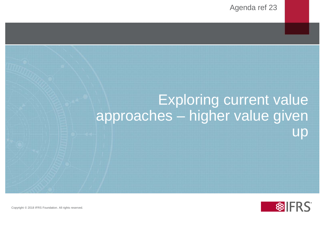# Exploring current value approaches – higher value given up

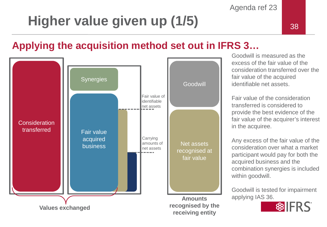# Higher value given up (1/5) and the setting of the setting of the setting of the setting of the setting of the set

### **Applying the acquisition method set out in IFRS 3…**



Goodwill is measured as the excess of the fair value of the consideration transferred over the fair value of the acquired identifiable net assets.

Fair value of the consideration transferred is considered to provide the best evidence of the fair value of the acquirer's interest in the acquiree.

Any excess of the fair value of the consideration over what a market participant would pay for both the acquired business and the combination synergies is included within goodwill.

Goodwill is tested for impairment applying IAS 36.

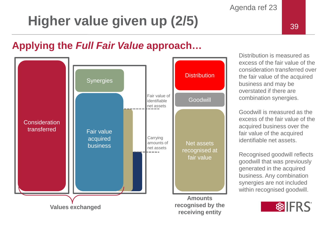# **Higher value given up (2/5)**

#### **Applying the** *Full Fair Value* **approach…**



Distribution is measured as excess of the fair value of the consideration transferred over the fair value of the acquired business and may be overstated if there are combination synergies.

Agenda ref 23

Goodwill is measured as the excess of the fair value of the acquired business over the fair value of the acquired identifiable net assets.

Recognised goodwill reflects goodwill that was previously generated in the acquired business. Any combination synergies are not included within recognised goodwill.

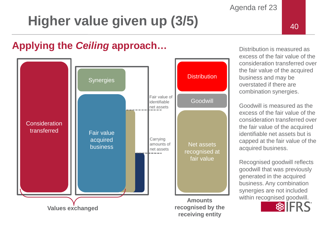# Higher value given up (3/5) and the setting of the setting of the setting of the setting of the setting of the setting of the setting of the setting of the setting of the setting of the setting of the setting of the settin

### **Applying the** *Ceiling* **approach…**



Distribution is measured as excess of the fair value of the consideration transferred over the fair value of the acquired business and may be overstated if there are combination synergies.

Agenda ref 23

Goodwill is measured as the excess of the fair value of the consideration transferred over the fair value of the acquired identifiable net assets but is capped at the fair value of the acquired business.

Recognised goodwill reflects goodwill that was previously generated in the acquired business. Any combination synergies are not included within recognised goodwill.

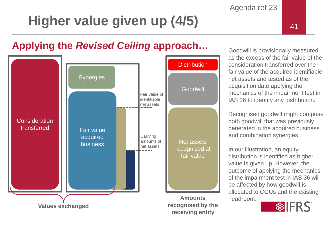# **Higher value given up (4/5)**

### **Applying the** *Revised Ceiling* **approach…**



Goodwill is provisionally measured as the excess of the fair value of the consideration transferred over the fair value of the acquired identifiable net assets and tested as of the acquisition date applying the mechanics of the impairment test in IAS 36 to identify any distribution.

Recognised goodwill might comprise both goodwill that was previously generated in the acquired business and combination synergies.

In our illustration, an equity distribution is identified as higher value is given up. However, the outcome of applying the mechanics of the impairment test in IAS 36 will be affected by how goodwill is allocated to CGUs and the existing headroom.

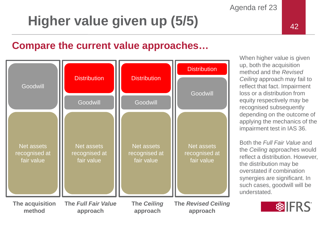# **Higher value given up (5/5)**

#### **Compare the current value approaches…**



When higher value is given up, both the acquisition method and the *Revised Ceiling* approach may fail to reflect that fact. Impairment loss or a distribution from equity respectively may be recognised subsequently depending on the outcome of applying the mechanics of the impairment test in IAS 36.

Agenda ref 23

Both the *Full Fair Value* and the *Ceiling* approaches would reflect a distribution. However, the distribution may be overstated if combination synergies are significant. In such cases, goodwill will be understated.

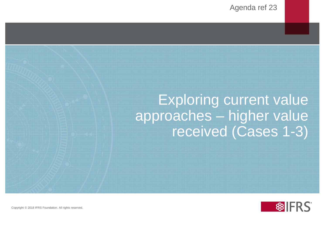### Exploring current value approaches – higher value received (Cases 1-3)

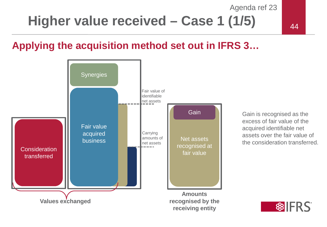### **Higher value received – Case 1 (1/5)**

### **Applying the acquisition method set out in IFRS 3…**



Gain is recognised as the excess of fair value of the acquired identifiable net assets over the fair value of the consideration transferred.

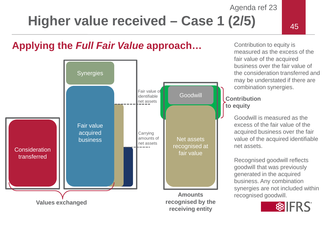**Higher value received – Case 1 (2/5)** 

#### **Applying the** *Full Fair Value* **approach…**



Contribution to equity is measured as the excess of the fair value of the acquired business over the fair value of the consideration transferred and may be understated if there are combination synergies.

#### **Contribution to equity**

Goodwill is measured as the excess of the fair value of the acquired business over the fair value of the acquired identifiable net assets.

Recognised goodwill reflects goodwill that was previously generated in the acquired business. Any combination synergies are not included within recognised goodwill.

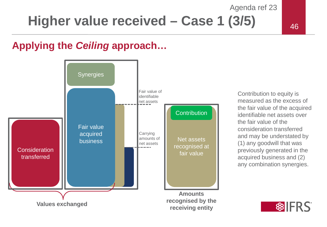**Higher value received – Case 1 (3/5)** 

#### **Applying the** *Ceiling* **approach…**



Contribution to equity is measured as the excess of the fair value of the acquired identifiable net assets over the fair value of the consideration transferred and may be understated by (1) any goodwill that was previously generated in the acquired business and (2) any combination synergies.

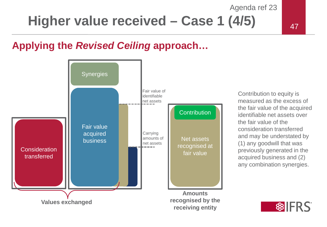**Higher value received – Case 1 (4/5)** 

#### **Applying the** *Revised Ceiling* **approach…**



Contribution to equity is measured as the excess of the fair value of the acquired identifiable net assets over the fair value of the consideration transferred and may be understated by (1) any goodwill that was previously generated in the acquired business and (2) any combination synergies.

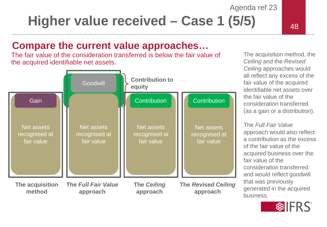**Higher value received – Case 1 (5/5)** 

### **Compare the current value approaches…**

The fair value of the consideration transferred is below the fair value of the acquired identifiable net assets.



The acquisition method, the *Ceiling* and the *Revised Ceiling* approaches would all reflect any excess of the fair value of the acquired identifiable net assets over the fair value of the consideration transferred (as a gain or a distribution).

The *Full Fair Value*  approach would also reflect a contribution as the excess of the fair value of the acquired business over the fair value of the consideration transferred and would reflect goodwill that was previously generated in the acquired business.

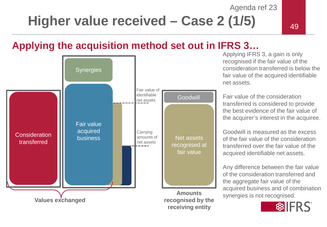### **Higher value received – Case 2 (1/5)**

### **Applying the acquisition method set out in IFRS 3…**



Applying IFRS 3, a gain is only recognised if the fair value of the consideration transferred is below the fair value of the acquired identifiable net assets.

Fair value of the consideration transferred is considered to provide the best evidence of the fair value of the acquirer's interest in the acquiree.

Goodwill is measured as the excess of the fair value of the consideration transferred over the fair value of the acquired identifiable net assets.

Any difference between the fair value of the consideration transferred and the aggregate fair value of the acquired business and of combination synergies is not recognised.

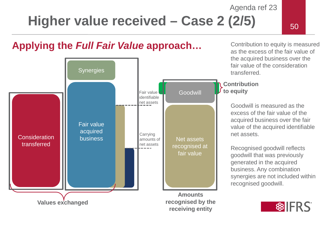**Higher value received – Case 2 (2/5)** 

#### **Applying the** *Full Fair Value* **approach…**



Contribution to equity is measured as the excess of the fair value of the acquired business over the fair value of the consideration transferred.

#### **Contribution to equity**

Goodwill is measured as the excess of the fair value of the acquired business over the fair value of the acquired identifiable net assets.

Recognised goodwill reflects goodwill that was previously generated in the acquired business. Any combination synergies are not included within recognised goodwill.

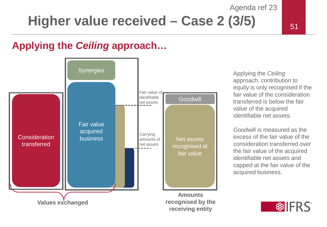### Agenda ref 23 **Higher value received – Case 2 (3/5)**

### **Applying the** *Ceiling* **approach…**



Applying the *Ceiling* approach, contribution to equity is only recognised if the fair value of the consideration transferred is below the fair value of the acquired identifiable net assets.

Goodwill is measured as the excess of the fair value of the consideration transferred over the fair value of the acquired identifiable net assets and capped at the fair value of the acquired business.

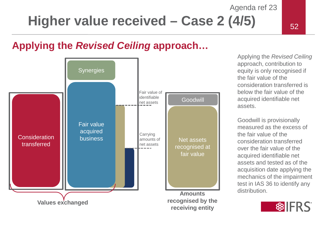**Higher value received – Case 2 (4/5)** 

### **Applying the** *Revised Ceiling* **approach…**



Applying the *Revised Ceiling* approach, contribution to equity is only recognised if the fair value of the consideration transferred is below the fair value of the acquired identifiable net assets.

Goodwill is provisionally measured as the excess of the fair value of the consideration transferred over the fair value of the acquired identifiable net assets and tested as of the acquisition date applying the mechanics of the impairment test in IAS 36 to identify any distribution.

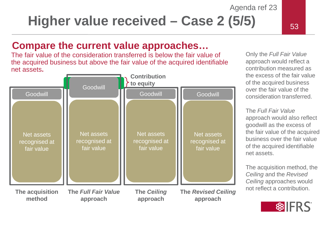**Higher value received – Case 2 (5/5)** 

### **Compare the current value approaches…**

The fair value of the consideration transferred is below the fair value of the acquired business but above the fair value of the acquired identifiable net assets**.**



Only the *Full Fair Value* approach would reflect a contribution measured as the excess of the fair value of the acquired business over the fair value of the consideration transferred.

The *Full Fair Value* approach would also reflect goodwill as the excess of the fair value of the acquired business over the fair value of the acquired identifiable net assets.

The acquisition method, the *Ceiling* and the *Revised Ceiling* approaches would not reflect a contribution.

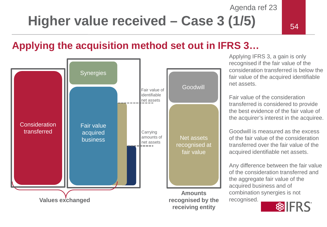**Higher value received – Case 3 (1/5)** 

#### **Applying the acquisition method set out in IFRS 3…**



Applying IFRS 3, a gain is only recognised if the fair value of the consideration transferred is below the fair value of the acquired identifiable net assets.

Fair value of the consideration transferred is considered to provide the best evidence of the fair value of the acquirer's interest in the acquiree.

Goodwill is measured as the excess of the fair value of the consideration transferred over the fair value of the acquired identifiable net assets.

Any difference between the fair value of the consideration transferred and the aggregate fair value of the acquired business and of combination synergies is not recognised.

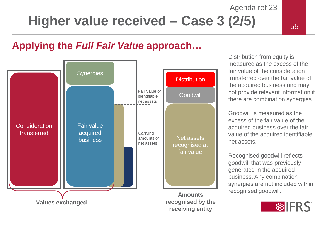### Agenda ref 23 **Higher value received – Case 3 (2/5)**

### **Applying the** *Full Fair Value* **approach…**



Distribution from equity is measured as the excess of the fair value of the consideration transferred over the fair value of the acquired business and may not provide relevant information if there are combination synergies.

Goodwill is measured as the excess of the fair value of the acquired business over the fair value of the acquired identifiable net assets.

Recognised goodwill reflects goodwill that was previously generated in the acquired business. Any combination synergies are not included within recognised goodwill.

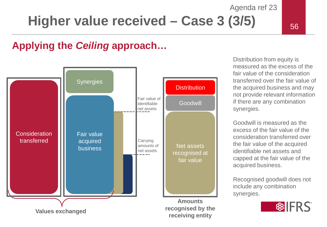### Agenda ref 23 **Higher value received – Case 3 (3/5)**

### **Applying the** *Ceiling* **approach…**



Distribution from equity is measured as the excess of the fair value of the consideration transferred over the fair value of the acquired business and may not provide relevant information if there are any combination synergies.

Goodwill is measured as the excess of the fair value of the consideration transferred over the fair value of the acquired identifiable net assets and capped at the fair value of the acquired business.

Recognised goodwill does not include any combination synergies.

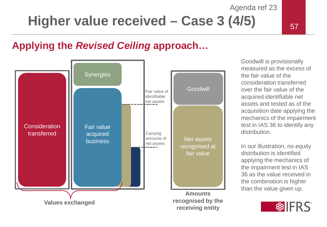# **Higher value received – Case 3 (4/5)**

### **Applying the** *Revised Ceiling* **approach…**



Goodwill is provisionally measured as the excess of the fair value of the consideration transferred over the fair value of the acquired identifiable net assets and tested as of the acquisition date applying the mechanics of the impairment test in IAS 36 to identify any distribution.

Agenda ref 23

In our illustration, no equity distribution is identified applying the mechanics of the impairment test in IAS 36 as the value received in the combination is higher than the value given up.

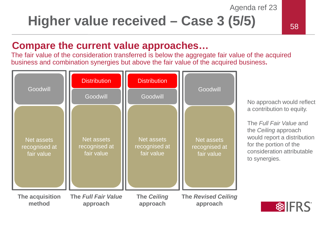### **Higher value received – Case 3 (5/5)**

#### **Compare the current value approaches…**

The fair value of the consideration transferred is below the aggregate fair value of the acquired business and combination synergies but above the fair value of the acquired business**.**

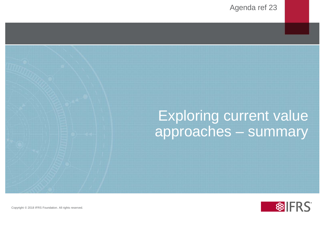### Exploring current value approaches – summary

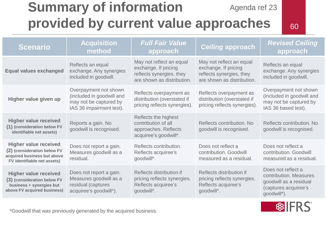#### Agenda ref 23 **Summary of information provided by current value approaches**

60

| <b>Scenario</b>                                                                                                           | <b>Acquisition</b><br>method                                                                             | <b>Full Fair Value</b><br>approach                                                                         | <b>Ceiling approach</b>                                                                                    | <b>Revised Ceiling</b><br>approach                                                                            |
|---------------------------------------------------------------------------------------------------------------------------|----------------------------------------------------------------------------------------------------------|------------------------------------------------------------------------------------------------------------|------------------------------------------------------------------------------------------------------------|---------------------------------------------------------------------------------------------------------------|
| <b>Equal values exchanged</b>                                                                                             | Reflects an equal<br>exchange. Any synergies<br>included in goodwill.                                    | May not reflect an equal<br>exchange. If pricing<br>reflects synergies, they<br>are shown as distribution. | May not reflect an equal<br>exchange. If pricing<br>reflects synergies, they<br>are shown as distribution. | Reflects an equal<br>exchange. Any synergies<br>included in goodwill.                                         |
| Higher value given up                                                                                                     | Overpayment not shown<br>(included in goodwill and<br>may not be captured by<br>IAS 36 impairment test). | Reflects overpayment as<br>distribution (overstated if<br>pricing reflects synergies).                     | Reflects overpayment as<br>distribution (overstated if<br>pricing reflects synergies).                     | Overpayment not shown<br>(included in goodwill and<br>may not be captured by<br>IAS 36 based test).           |
| <b>Higher value received</b><br>(1) (consideration below FV<br>identifiable net assets)                                   | Reports a gain. No<br>goodwill is recognised.                                                            | Reflects the highest<br>contribution of all<br>approaches. Reflects<br>acquiree's goodwill*.               | Reflects contribution. No<br>goodwill is recognised.                                                       | Reflects contribution. No<br>goodwill is recognised.                                                          |
| <b>Higher value received</b><br>(2) (consideration below FV<br>acquired business but above<br>FV identifiable net assets) | Does not report a gain.<br>Measures goodwill as a<br>residual.                                           | Reflects contribution.<br>Reflects acquiree's<br>goodwill*.                                                | Does not reflect a<br>contribution. Goodwill<br>measured as a residual.                                    | Does not reflect a<br>contribution. Goodwill<br>measured as a residual.                                       |
| <b>Higher value received</b><br>(3) (consideration below FV<br>business + synergies but<br>above FV acquired business)    | Does not report a gain.<br>Measures goodwill as a<br>residual (captures<br>acquiree's goodwill*).        | Reflects distribution if<br>pricing reflects synergies.<br>Reflects acquiree's<br>goodwill*.               | Reflects distribution if<br>pricing reflects synergies.<br>Reflects acquiree's<br>goodwill*.               | Does not reflect a<br>contribution. Measures<br>goodwill as a residual<br>(captures acquiree's<br>goodwill*). |

\*Goodwill that was previously generated by the acquired business.

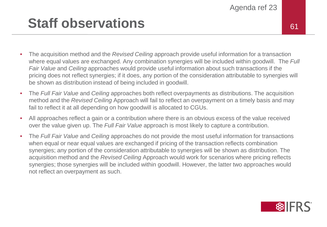### **Staff observations** 61

- The acquisition method and the *Revised Ceiling* approach provide useful information for a transaction where equal values are exchanged. Any combination synergies will be included within goodwill. The *Full Fair Value* and *Ceiling* approaches would provide useful information about such transactions if the pricing does not reflect synergies; if it does, any portion of the consideration attributable to synergies will be shown as distribution instead of being included in goodwill.
- The *Full Fair Value* and *Ceiling* approaches both reflect overpayments as distributions. The acquisition method and the *Revised Ceiling* Approach will fail to reflect an overpayment on a timely basis and may fail to reflect it at all depending on how goodwill is allocated to CGUs.
- All approaches reflect a gain or a contribution where there is an obvious excess of the value received over the value given up. The *Full Fair Value* approach is most likely to capture a contribution.
- The *Full Fair Value* and *Ceiling* approaches do not provide the most useful information for transactions when equal or near equal values are exchanged if pricing of the transaction reflects combination synergies; any portion of the consideration attributable to synergies will be shown as distribution. The acquisition method and the *Revised Ceiling* Approach would work for scenarios where pricing reflects synergies; those synergies will be included within goodwill. However, the latter two approaches would not reflect an overpayment as such.

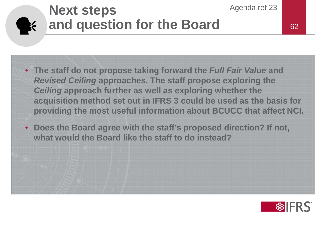#### **Next steps and question for the Board SEE**

- **The staff do not propose taking forward the** *Full Fair Value* **and**  *Revised Ceiling* **approaches. The staff propose exploring the**  *Ceiling* **approach further as well as exploring whether the acquisition method set out in IFRS 3 could be used as the basis for providing the most useful information about BCUCC that affect NCI.**
- **Does the Board agree with the staff's proposed direction? If not, what would the Board like the staff to do instead?**



Agenda ref 23